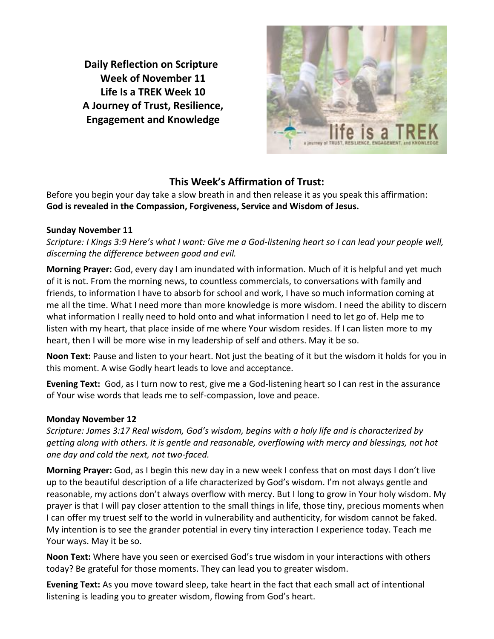**Daily Reflection on Scripture Week of November 11 Life Is a TREK Week 10 A Journey of Trust, Resilience, Engagement and Knowledge**



# **This Week's Affirmation of Trust:**

Before you begin your day take a slow breath in and then release it as you speak this affirmation: **God is revealed in the Compassion, Forgiveness, Service and Wisdom of Jesus.**

## **Sunday November 11**

*Scripture: I Kings 3:9 Here's what I want: Give me a God-listening heart so I can lead your people well, discerning the difference between good and evil.*

**Morning Prayer:** God, every day I am inundated with information. Much of it is helpful and yet much of it is not. From the morning news, to countless commercials, to conversations with family and friends, to information I have to absorb for school and work, I have so much information coming at me all the time. What I need more than more knowledge is more wisdom. I need the ability to discern what information I really need to hold onto and what information I need to let go of. Help me to listen with my heart, that place inside of me where Your wisdom resides. If I can listen more to my heart, then I will be more wise in my leadership of self and others. May it be so.

**Noon Text:** Pause and listen to your heart. Not just the beating of it but the wisdom it holds for you in this moment. A wise Godly heart leads to love and acceptance.

**Evening Text:** God, as I turn now to rest, give me a God-listening heart so I can rest in the assurance of Your wise words that leads me to self-compassion, love and peace.

# **Monday November 12**

*Scripture: James 3:17 Real wisdom, God's wisdom, begins with a holy life and is characterized by getting along with others. It is gentle and reasonable, overflowing with mercy and blessings, not hot one day and cold the next, not two-faced.*

**Morning Prayer:** God, as I begin this new day in a new week I confess that on most days I don't live up to the beautiful description of a life characterized by God's wisdom. I'm not always gentle and reasonable, my actions don't always overflow with mercy. But I long to grow in Your holy wisdom. My prayer is that I will pay closer attention to the small things in life, those tiny, precious moments when I can offer my truest self to the world in vulnerability and authenticity, for wisdom cannot be faked. My intention is to see the grander potential in every tiny interaction I experience today. Teach me Your ways. May it be so.

**Noon Text:** Where have you seen or exercised God's true wisdom in your interactions with others today? Be grateful for those moments. They can lead you to greater wisdom.

**Evening Text:** As you move toward sleep, take heart in the fact that each small act of intentional listening is leading you to greater wisdom, flowing from God's heart.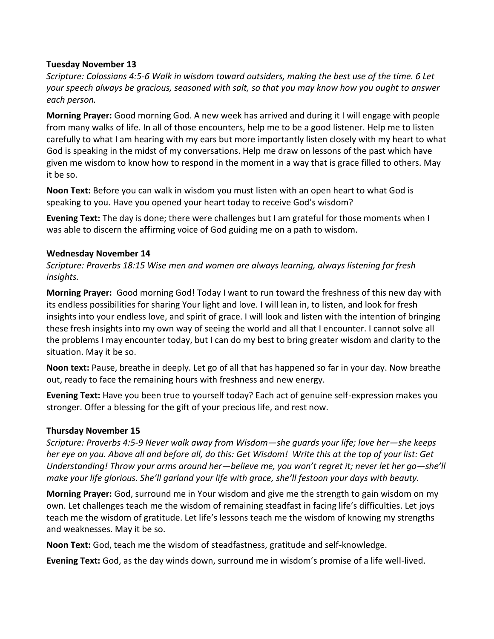#### **Tuesday November 13**

*Scripture: Colossians 4:5-6 Walk in wisdom toward outsiders, making the best use of the time. 6 Let your speech always be gracious, seasoned with salt, so that you may know how you ought to answer each person.*

**Morning Prayer:** Good morning God. A new week has arrived and during it I will engage with people from many walks of life. In all of those encounters, help me to be a good listener. Help me to listen carefully to what I am hearing with my ears but more importantly listen closely with my heart to what God is speaking in the midst of my conversations. Help me draw on lessons of the past which have given me wisdom to know how to respond in the moment in a way that is grace filled to others. May it be so.

**Noon Text:** Before you can walk in wisdom you must listen with an open heart to what God is speaking to you. Have you opened your heart today to receive God's wisdom?

**Evening Text:** The day is done; there were challenges but I am grateful for those moments when I was able to discern the affirming voice of God guiding me on a path to wisdom.

#### **Wednesday November 14**

*Scripture: Proverbs 18:15 Wise men and women are always learning, always listening for fresh insights.*

**Morning Prayer:** Good morning God! Today I want to run toward the freshness of this new day with its endless possibilities for sharing Your light and love. I will lean in, to listen, and look for fresh insights into your endless love, and spirit of grace. I will look and listen with the intention of bringing these fresh insights into my own way of seeing the world and all that I encounter. I cannot solve all the problems I may encounter today, but I can do my best to bring greater wisdom and clarity to the situation. May it be so.

**Noon text:** Pause, breathe in deeply. Let go of all that has happened so far in your day. Now breathe out, ready to face the remaining hours with freshness and new energy.

**Evening Text:** Have you been true to yourself today? Each act of genuine self-expression makes you stronger. Offer a blessing for the gift of your precious life, and rest now.

## **Thursday November 15**

*Scripture: Proverbs 4:5-9 Never walk away from Wisdom—she guards your life; love her—she keeps her eye on you. Above all and before all, do this: Get Wisdom! Write this at the top of your list: Get Understanding! Throw your arms around her—believe me, you won't regret it; never let her go—she'll make your life glorious. She'll garland your life with grace, she'll festoon your days with beauty.*

**Morning Prayer:** God, surround me in Your wisdom and give me the strength to gain wisdom on my own. Let challenges teach me the wisdom of remaining steadfast in facing life's difficulties. Let joys teach me the wisdom of gratitude. Let life's lessons teach me the wisdom of knowing my strengths and weaknesses. May it be so.

**Noon Text:** God, teach me the wisdom of steadfastness, gratitude and self-knowledge.

**Evening Text:** God, as the day winds down, surround me in wisdom's promise of a life well-lived.